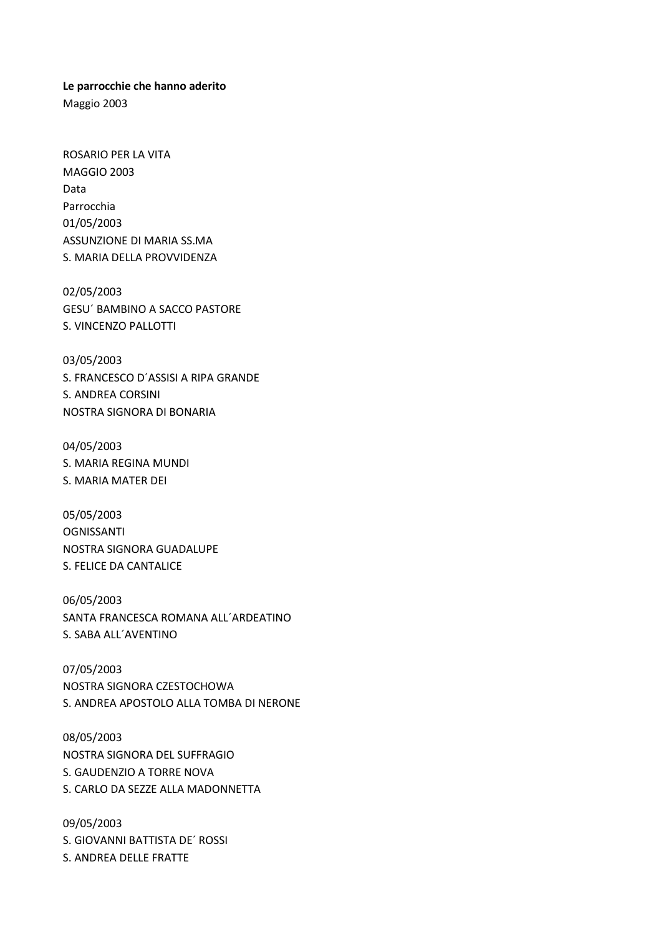**Le parrocchie che hanno aderito**

Maggio 2003

ROSARIO PER LA VITA MAGGIO 2003 Data Parrocchia 01/05/2003 ASSUNZIONE DI MARIA SS.MA S. MARIA DELLA PROVVIDENZA

02/05/2003 GESU´ BAMBINO A SACCO PASTORE S. VINCENZO PALLOTTI

03/05/2003 S. FRANCESCO D´ASSISI A RIPA GRANDE S. ANDREA CORSINI NOSTRA SIGNORA DI BONARIA

04/05/2003 S. MARIA REGINA MUNDI S. MARIA MATER DEI

05/05/2003 OGNISSANTI NOSTRA SIGNORA GUADALUPE S. FELICE DA CANTALICE

06/05/2003 SANTA FRANCESCA ROMANA ALL´ARDEATINO S. SABA ALL´AVENTINO

07/05/2003 NOSTRA SIGNORA CZESTOCHOWA S. ANDREA APOSTOLO ALLA TOMBA DI NERONE

08/05/2003 NOSTRA SIGNORA DEL SUFFRAGIO S. GAUDENZIO A TORRE NOVA S. CARLO DA SEZZE ALLA MADONNETTA

09/05/2003 S. GIOVANNI BATTISTA DE´ ROSSI S. ANDREA DELLE FRATTE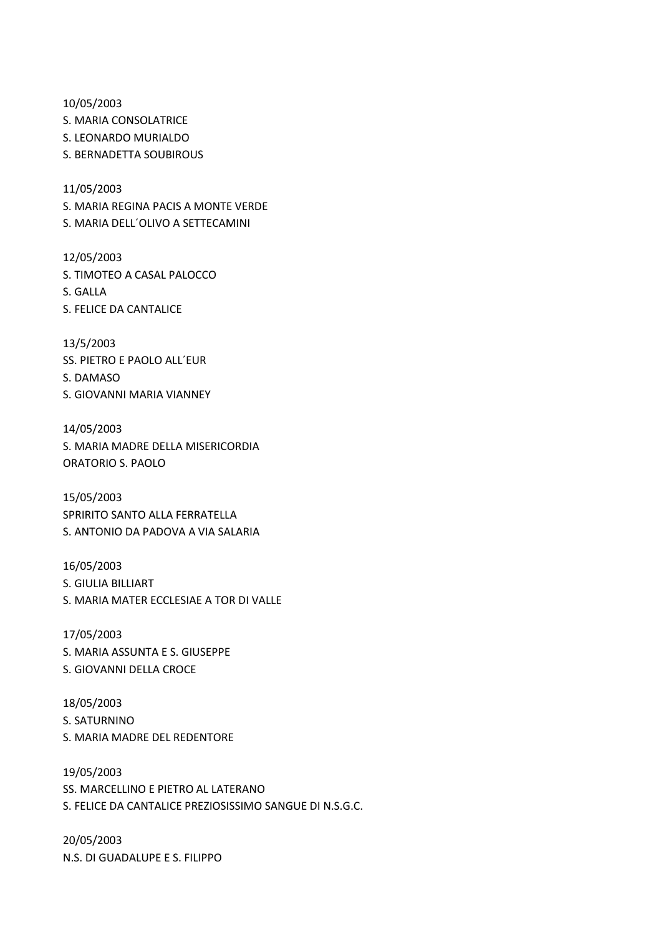10/05/2003

S. MARIA CONSOLATRICE

S. LEONARDO MURIALDO

S. BERNADETTA SOUBIROUS

11/05/2003

S. MARIA REGINA PACIS A MONTE VERDE

S. MARIA DELL´OLIVO A SETTECAMINI

12/05/2003 S. TIMOTEO A CASAL PALOCCO S. GALLA S. FELICE DA CANTALICE

13/5/2003 SS. PIETRO E PAOLO ALL´EUR S. DAMASO S. GIOVANNI MARIA VIANNEY

14/05/2003 S. MARIA MADRE DELLA MISERICORDIA ORATORIO S. PAOLO

15/05/2003 SPRIRITO SANTO ALLA FERRATELLA S. ANTONIO DA PADOVA A VIA SALARIA

16/05/2003 S. GIULIA BILLIART S. MARIA MATER ECCLESIAE A TOR DI VALLE

17/05/2003 S. MARIA ASSUNTA E S. GIUSEPPE S. GIOVANNI DELLA CROCE

18/05/2003 S. SATURNINO S. MARIA MADRE DEL REDENTORE

19/05/2003 SS. MARCELLINO E PIETRO AL LATERANO S. FELICE DA CANTALICE PREZIOSISSIMO SANGUE DI N.S.G.C.

20/05/2003 N.S. DI GUADALUPE E S. FILIPPO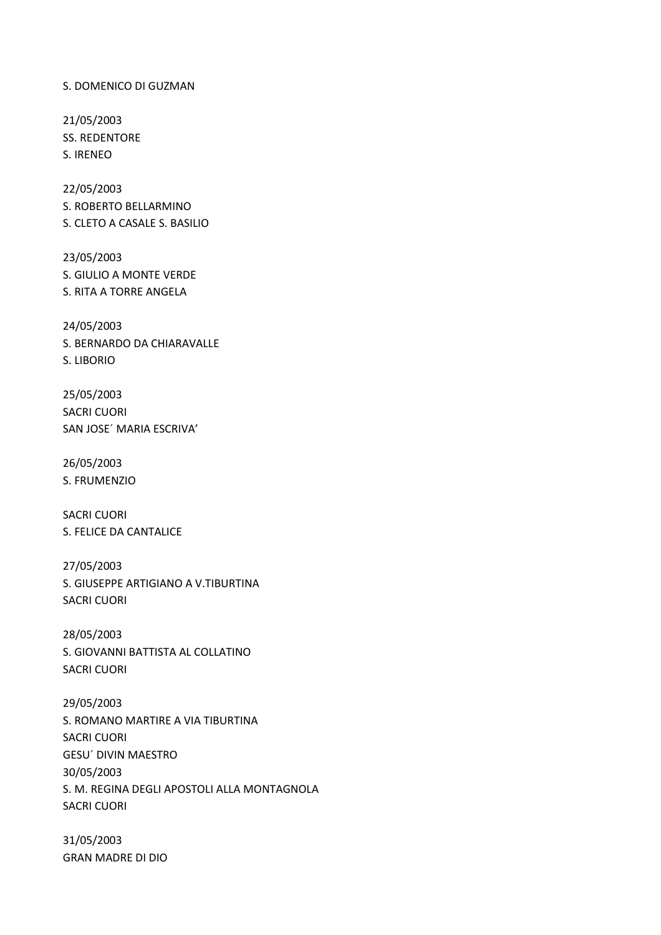S. DOMENICO DI GUZMAN

21/05/2003 SS. REDENTORE S. IRENEO

22/05/2003 S. ROBERTO BELLARMINO S. CLETO A CASALE S. BASILIO

23/05/2003 S. GIULIO A MONTE VERDE S. RITA A TORRE ANGELA

24/05/2003 S. BERNARDO DA CHIARAVALLE S. LIBORIO

25/05/2003 SACRI CUORI SAN JOSE´ MARIA ESCRIVA'

26/05/2003 S. FRUMENZIO

SACRI CUORI S. FELICE DA CANTALICE

27/05/2003 S. GIUSEPPE ARTIGIANO A V.TIBURTINA SACRI CUORI

28/05/2003 S. GIOVANNI BATTISTA AL COLLATINO SACRI CUORI

29/05/2003 S. ROMANO MARTIRE A VIA TIBURTINA SACRI CUORI GESU´ DIVIN MAESTRO 30/05/2003 S. M. REGINA DEGLI APOSTOLI ALLA MONTAGNOLA SACRI CUORI

31/05/2003 GRAN MADRE DI DIO